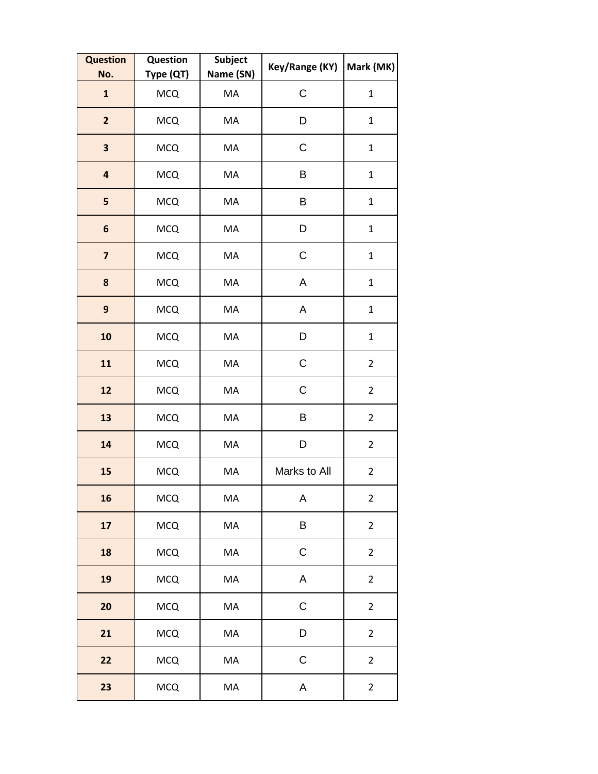| <b>Question</b><br>No.  | Question<br>Type (QT) | <b>Subject</b><br>Name (SN) | Key/Range (KY) | Mark (MK)      |
|-------------------------|-----------------------|-----------------------------|----------------|----------------|
| $\mathbf{1}$            | <b>MCQ</b>            | MA                          | C              | $\mathbf{1}$   |
| $\overline{2}$          | <b>MCQ</b>            | MA                          | D              | $\mathbf{1}$   |
| 3                       | <b>MCQ</b>            | MA                          | $\mathsf C$    | $\mathbf 1$    |
| $\overline{\mathbf{a}}$ | <b>MCQ</b>            | MA                          | B              | $\mathbf{1}$   |
| 5                       | <b>MCQ</b>            | MA                          | B              | $\mathbf{1}$   |
| 6                       | <b>MCQ</b>            | MA                          | D              | $\mathbf{1}$   |
| $\overline{\mathbf{z}}$ | <b>MCQ</b>            | MA                          | C              | $\mathbf{1}$   |
| 8                       | <b>MCQ</b>            | MA                          | A              | $\mathbf 1$    |
| $\mathbf{9}$            | <b>MCQ</b>            | MA                          | A              | $\mathbf{1}$   |
| 10                      | <b>MCQ</b>            | MA                          | D              | $\mathbf{1}$   |
| 11                      | <b>MCQ</b>            | MA                          | C              | $\overline{2}$ |
| 12                      | <b>MCQ</b>            | MA                          | $\mathsf C$    | $\overline{2}$ |
| 13                      | <b>MCQ</b>            | MA                          | B              | $\overline{2}$ |
| 14                      | <b>MCQ</b>            | MA                          | D              | $\overline{2}$ |
| 15                      | <b>MCQ</b>            | MA                          | Marks to All   | $\overline{2}$ |
| 16                      | <b>MCQ</b>            | $\sf MA$                    | Α              | $\overline{2}$ |
| 17                      | <b>MCQ</b>            | MA                          | B              | $\overline{2}$ |
| 18                      | <b>MCQ</b>            | MA                          | $\mathsf C$    | $\overline{2}$ |
| 19                      | <b>MCQ</b>            | MA                          | A              | $\overline{2}$ |
| 20                      | <b>MCQ</b>            | MA                          | $\mathsf C$    | $\overline{2}$ |
| 21                      | <b>MCQ</b>            | MA                          | D              | $\overline{2}$ |
| 22                      | <b>MCQ</b>            | $\sf MA$                    | $\mathsf C$    | $\overline{2}$ |
| 23                      | <b>MCQ</b>            | MA                          | $\mathsf A$    | $\overline{2}$ |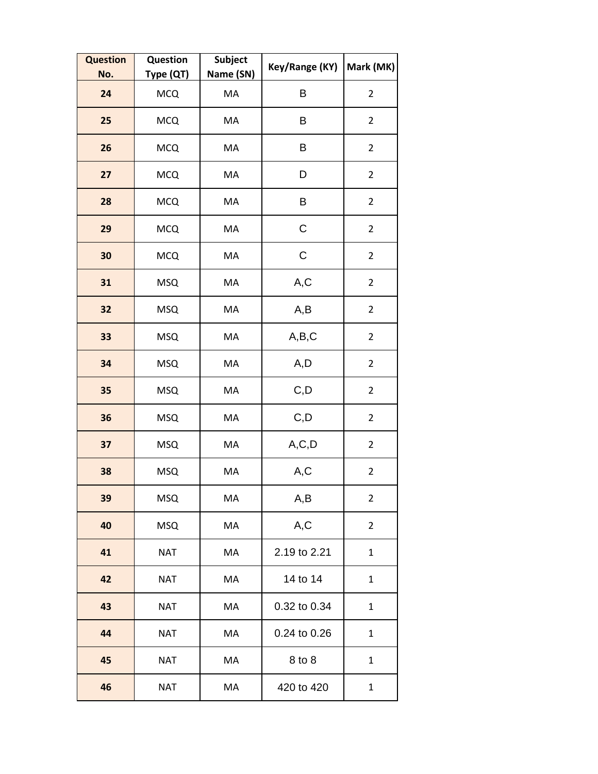| <b>Question</b><br>No. | Question<br>Type (QT) | <b>Subject</b><br>Name (SN) | Key/Range (KY) | Mark (MK)      |
|------------------------|-----------------------|-----------------------------|----------------|----------------|
| 24                     | <b>MCQ</b>            | MA                          | B              | $\overline{2}$ |
| 25                     | <b>MCQ</b>            | MA                          | В              | $\overline{2}$ |
| 26                     | <b>MCQ</b>            | MA                          | B              | $\overline{2}$ |
| 27                     | <b>MCQ</b>            | MA                          | D              | $\overline{2}$ |
| 28                     | <b>MCQ</b>            | MA                          | B              | $\overline{2}$ |
| 29                     | <b>MCQ</b>            | MA                          | $\mathsf C$    | $\overline{2}$ |
| 30                     | <b>MCQ</b>            | MA                          | $\mathsf C$    | $\overline{2}$ |
| 31                     | <b>MSQ</b>            | MA                          | A,C            | $\overline{2}$ |
| 32                     | <b>MSQ</b>            | MA                          | A,B            | $\overline{2}$ |
| 33                     | <b>MSQ</b>            | MA                          | A,B,C          | $\overline{2}$ |
| 34                     | <b>MSQ</b>            | MA                          | A, D           | $\overline{2}$ |
| 35                     | <b>MSQ</b>            | MA                          | C, D           | $\overline{2}$ |
| 36                     | <b>MSQ</b>            | MA                          | C, D           | $\overline{2}$ |
| 37                     | <b>MSQ</b>            | MA                          | A, C, D        | $\overline{2}$ |
| 38                     | <b>MSQ</b>            | MA                          | A,C            | $\overline{2}$ |
| 39                     | <b>MSQ</b>            | MA                          | A, B           | $\overline{2}$ |
| 40                     | <b>MSQ</b>            | MA                          | A,C            | $\overline{2}$ |
| 41                     | <b>NAT</b>            | MA                          | 2.19 to 2.21   | $\mathbf{1}$   |
| 42                     | <b>NAT</b>            | MA                          | 14 to 14       | $\mathbf{1}$   |
| 43                     | <b>NAT</b>            | MA                          | 0.32 to 0.34   | $\mathbf{1}$   |
| 44                     | <b>NAT</b>            | MA                          | 0.24 to 0.26   | $\mathbf{1}$   |
| 45                     | <b>NAT</b>            | MA                          | 8 to 8         | $\mathbf{1}$   |
| 46                     | <b>NAT</b>            | MA                          | 420 to 420     | $\mathbf{1}$   |